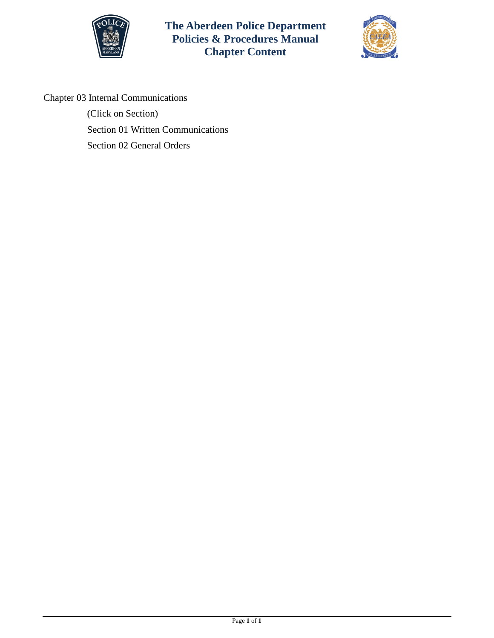



Chapter 03 Internal Communications

(Click on Section) [Section 01 Written Communications](#page-1-0) [Section 02 General Orders](#page-5-0)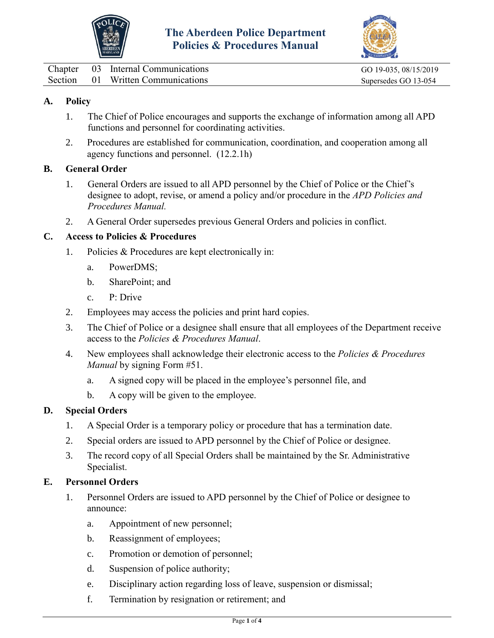



<span id="page-1-0"></span>

| Chapter | 03 Internal Communications        | GO 19-035, 08/15/2019 |
|---------|-----------------------------------|-----------------------|
|         | Section 01 Written Communications | Supersedes GO 13-054  |

# **A. Policy**

- 1. The Chief of Police encourages and supports the exchange of information among all APD functions and personnel for coordinating activities.
- 2. Procedures are established for communication, coordination, and cooperation among all agency functions and personnel. (12.2.1h)

### **B. General Order**

- 1. General Orders are issued to all APD personnel by the Chief of Police or the Chief's designee to adopt, revise, or amend a policy and/or procedure in the *APD Policies and Procedures Manual.*
- 2. A General Order supersedes previous General Orders and policies in conflict.

## **C. Access to Policies & Procedures**

- 1. Policies & Procedures are kept electronically in:
	- a. PowerDMS;
	- b. SharePoint; and
	- c. P: Drive
- 2. Employees may access the policies and print hard copies.
- 3. The Chief of Police or a designee shall ensure that all employees of the Department receive access to the *Policies & Procedures Manual*.
- 4. New employees shall acknowledge their electronic access to the *Policies & Procedures Manual* by signing Form #51.
	- a. A signed copy will be placed in the employee's personnel file, and
	- b. A copy will be given to the employee.

### **D. Special Orders**

- 1. A Special Order is a temporary policy or procedure that has a termination date.
- 2. Special orders are issued to APD personnel by the Chief of Police or designee.
- 3. The record copy of all Special Orders shall be maintained by the Sr. Administrative Specialist.

### **E. Personnel Orders**

- 1. Personnel Orders are issued to APD personnel by the Chief of Police or designee to announce:
	- a. Appointment of new personnel;
	- b. Reassignment of employees;
	- c. Promotion or demotion of personnel;
	- d. Suspension of police authority;
	- e. Disciplinary action regarding loss of leave, suspension or dismissal;
	- f. Termination by resignation or retirement; and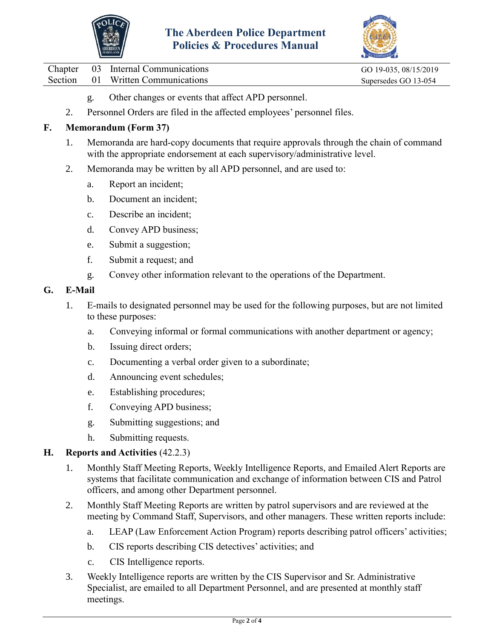



Chapter 03 Internal Communications GO 19-035, 08/15/2019 Section 01 Written Communications Supersedes GO 13-054

- g. Other changes or events that affect APD personnel.
- 2. Personnel Orders are filed in the affected employees' personnel files.

## **F. Memorandum (Form 37)**

- 1. Memoranda are hard-copy documents that require approvals through the chain of command with the appropriate endorsement at each supervisory/administrative level.
- 2. Memoranda may be written by all APD personnel, and are used to:
	- a. Report an incident;
	- b. Document an incident;
	- c. Describe an incident;
	- d. Convey APD business;
	- e. Submit a suggestion;
	- f. Submit a request; and
	- g. Convey other information relevant to the operations of the Department.

### **G. E-Mail**

- 1. E-mails to designated personnel may be used for the following purposes, but are not limited to these purposes:
	- a. Conveying informal or formal communications with another department or agency;
	- b. Issuing direct orders;
	- c. Documenting a verbal order given to a subordinate;
	- d. Announcing event schedules;
	- e. Establishing procedures;
	- f. Conveying APD business;
	- g. Submitting suggestions; and
	- h. Submitting requests.

### **H. Reports and Activities** (42.2.3)

- 1. Monthly Staff Meeting Reports, Weekly Intelligence Reports, and Emailed Alert Reports are systems that facilitate communication and exchange of information between CIS and Patrol officers, and among other Department personnel.
- 2. Monthly Staff Meeting Reports are written by patrol supervisors and are reviewed at the meeting by Command Staff, Supervisors, and other managers. These written reports include:
	- a. LEAP (Law Enforcement Action Program) reports describing patrol officers' activities;
	- b. CIS reports describing CIS detectives' activities; and
	- c. CIS Intelligence reports.
- 3. Weekly Intelligence reports are written by the CIS Supervisor and Sr. Administrative Specialist, are emailed to all Department Personnel, and are presented at monthly staff meetings.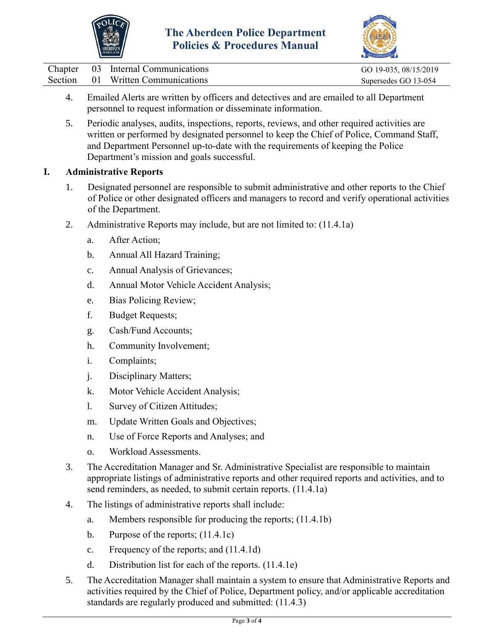



| Chapter | 03 Internal Communications        | GO 19-035, 08/15/2019 |
|---------|-----------------------------------|-----------------------|
|         | Section 01 Written Communications | Supersedes GO 13-054  |

- 4. Emailed Alerts are written by officers and detectives and are emailed to all Department personnel to request information or disseminate information.
- 5. Periodic analyses, audits, inspections, reports, reviews, and other required activities are written or performed by designated personnel to keep the Chief of Police, Command Staff, and Department Personnel up-to-date with the requirements of keeping the Police Department's mission and goals successful.

## **I. Administrative Reports**

- 1. Designated personnel are responsible to submit administrative and other reports to the Chief of Police or other designated officers and managers to record and verify operational activities of the Department.
- 2. Administrative Reports may include, but are not limited to: (11.4.1a)
	- a. After Action;
	- b. Annual All Hazard Training;
	- c. Annual Analysis of Grievances;
	- d. Annual Motor Vehicle Accident Analysis;
	- e. Bias Policing Review;
	- f. Budget Requests;
	- g. Cash/Fund Accounts;
	- h. Community Involvement;
	- i. Complaints;
	- j. Disciplinary Matters;
	- k. Motor Vehicle Accident Analysis;
	- l. Survey of Citizen Attitudes;
	- m. Update Written Goals and Objectives;
	- n. Use of Force Reports and Analyses; and
	- o. Workload Assessments.
- 3. The Accreditation Manager and Sr. Administrative Specialist are responsible to maintain appropriate listings of administrative reports and other required reports and activities, and to send reminders, as needed, to submit certain reports. (11.4.1a)
- 4. The listings of administrative reports shall include:
	- a. Members responsible for producing the reports; (11.4.1b)
	- b. Purpose of the reports;  $(11.4.1c)$
	- c. Frequency of the reports; and (11.4.1d)
	- d. Distribution list for each of the reports. (11.4.1e)
- 5. The Accreditation Manager shall maintain a system to ensure that Administrative Reports and activities required by the Chief of Police, Department policy, and/or applicable accreditation standards are regularly produced and submitted: (11.4.3)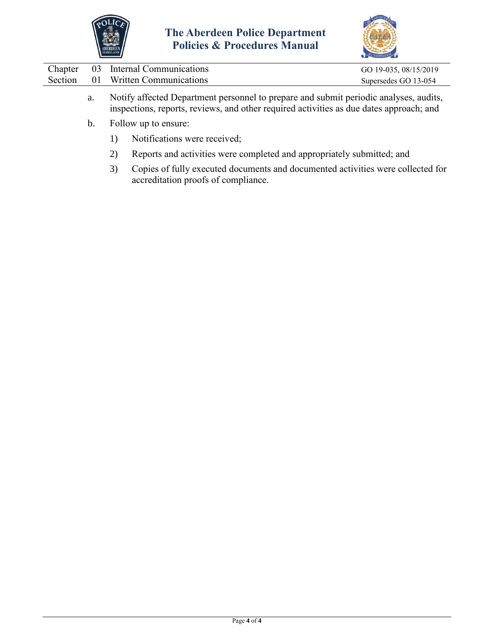



|  | Chapter 03 Internal Communications | GO 19-035, 08/15/2019 |
|--|------------------------------------|-----------------------|
|  | Section 01 Written Communications  | Supersedes GO 13-054  |
|  |                                    |                       |

- a. Notify affected Department personnel to prepare and submit periodic analyses, audits, inspections, reports, reviews, and other required activities as due dates approach; and
- b. Follow up to ensure:
	- 1) Notifications were received;
	- 2) Reports and activities were completed and appropriately submitted; and
	- 3) Copies of fully executed documents and documented activities were collected for accreditation proofs of compliance.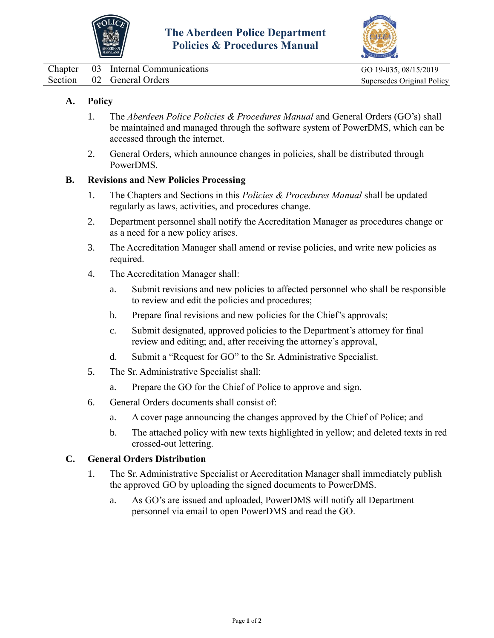



<span id="page-5-0"></span>Chapter 03 Internal Communications GO 19-035, 08/15/2019 Section 02 General Orders Supersedes Original Policy

# **A. Policy**

- 1. The *Aberdeen Police Policies & Procedures Manual* and General Orders (GO's) shall be maintained and managed through the software system of PowerDMS, which can be accessed through the internet.
- 2. General Orders, which announce changes in policies, shall be distributed through PowerDMS.

## **B. Revisions and New Policies Processing**

- 1. The Chapters and Sections in this *Policies & Procedures Manual* shall be updated regularly as laws, activities, and procedures change.
- 2. Department personnel shall notify the Accreditation Manager as procedures change or as a need for a new policy arises.
- 3. The Accreditation Manager shall amend or revise policies, and write new policies as required.
- 4. The Accreditation Manager shall:
	- a. Submit revisions and new policies to affected personnel who shall be responsible to review and edit the policies and procedures;
	- b. Prepare final revisions and new policies for the Chief's approvals;
	- c. Submit designated, approved policies to the Department's attorney for final review and editing; and, after receiving the attorney's approval,
	- d. Submit a "Request for GO" to the Sr. Administrative Specialist.
- 5. The Sr. Administrative Specialist shall:
	- a. Prepare the GO for the Chief of Police to approve and sign.
- 6. General Orders documents shall consist of:
	- a. A cover page announcing the changes approved by the Chief of Police; and
	- b. The attached policy with new texts highlighted in yellow; and deleted texts in red crossed-out lettering.

### **C. General Orders Distribution**

- 1. The Sr. Administrative Specialist or Accreditation Manager shall immediately publish the approved GO by uploading the signed documents to PowerDMS.
	- a. As GO's are issued and uploaded, PowerDMS will notify all Department personnel via email to open PowerDMS and read the GO.